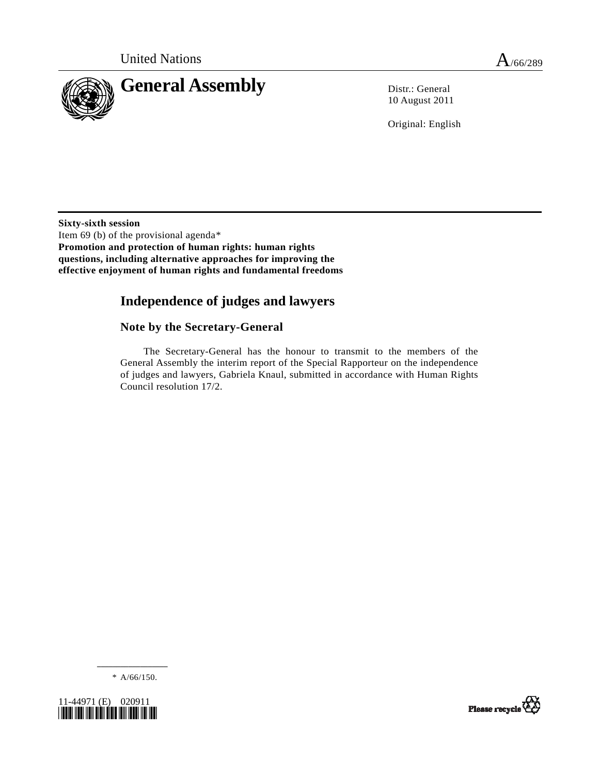

10 August 2011

Original: English

**Sixty-sixth session**  Item 69 (b) of the provisional agenda[\\*](#page-0-0) **Promotion and protection of human rights: human rights questions, including alternative approaches for improving the effective enjoyment of human rights and fundamental freedoms** 

# **Independence of judges and lawyers**

## **Note by the Secretary-General**

 The Secretary-General has the honour to transmit to the members of the General Assembly the interim report of the Special Rapporteur on the independence of judges and lawyers, Gabriela Knaul, submitted in accordance with Human Rights Council resolution 17/2.

**\_\_\_\_\_\_\_\_\_\_\_\_\_\_\_\_\_\_**  \* A/66/150.

<span id="page-0-0"></span>

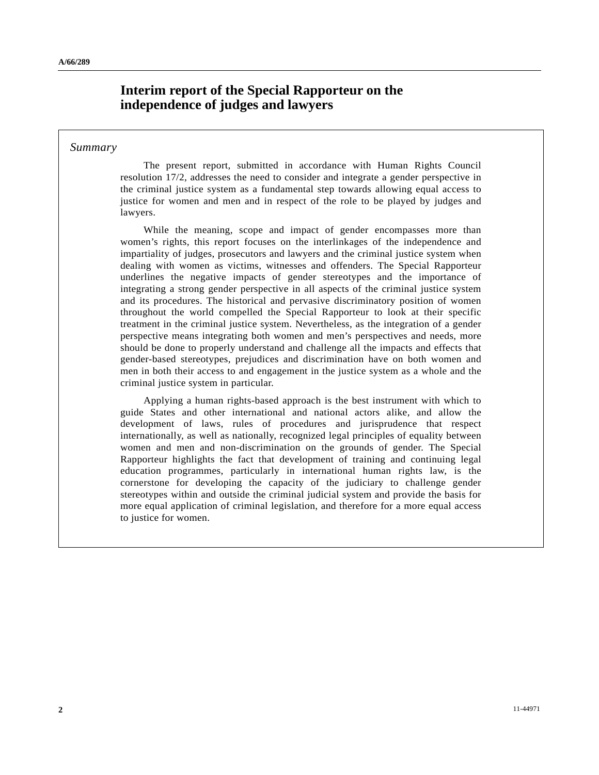# **Interim report of the Special Rapporteur on the independence of judges and lawyers**

### *Summary*

 The present report, submitted in accordance with Human Rights Council resolution 17/2, addresses the need to consider and integrate a gender perspective in the criminal justice system as a fundamental step towards allowing equal access to justice for women and men and in respect of the role to be played by judges and lawyers.

 While the meaning, scope and impact of gender encompasses more than women's rights, this report focuses on the interlinkages of the independence and impartiality of judges, prosecutors and lawyers and the criminal justice system when dealing with women as victims, witnesses and offenders. The Special Rapporteur underlines the negative impacts of gender stereotypes and the importance of integrating a strong gender perspective in all aspects of the criminal justice system and its procedures. The historical and pervasive discriminatory position of women throughout the world compelled the Special Rapporteur to look at their specific treatment in the criminal justice system. Nevertheless, as the integration of a gender perspective means integrating both women and men's perspectives and needs, more should be done to properly understand and challenge all the impacts and effects that gender-based stereotypes, prejudices and discrimination have on both women and men in both their access to and engagement in the justice system as a whole and the criminal justice system in particular.

 Applying a human rights-based approach is the best instrument with which to guide States and other international and national actors alike, and allow the development of laws, rules of procedures and jurisprudence that respect internationally, as well as nationally, recognized legal principles of equality between women and men and non-discrimination on the grounds of gender. The Special Rapporteur highlights the fact that development of training and continuing legal education programmes, particularly in international human rights law, is the cornerstone for developing the capacity of the judiciary to challenge gender stereotypes within and outside the criminal judicial system and provide the basis for more equal application of criminal legislation, and therefore for a more equal access to justice for women.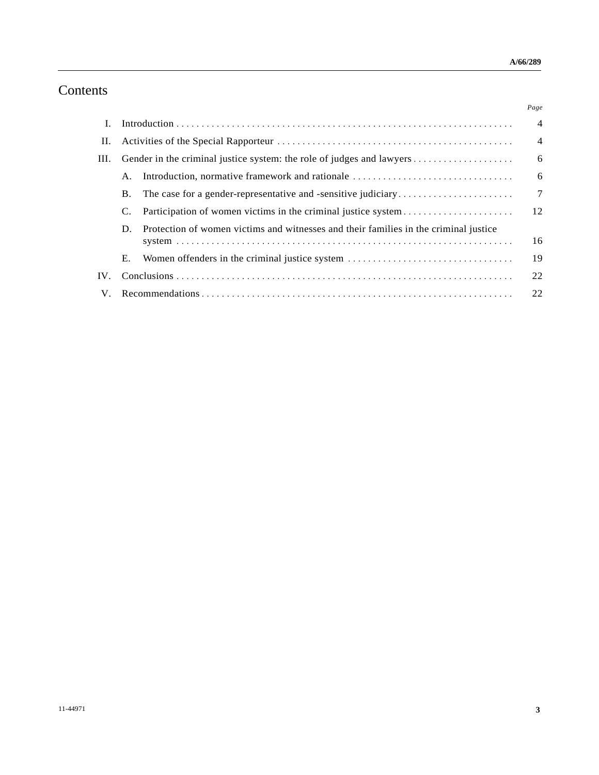# Contents

|      |           |                                                                                      | Page           |
|------|-----------|--------------------------------------------------------------------------------------|----------------|
| L    |           |                                                                                      | $\overline{4}$ |
| П.   |           |                                                                                      | $\overline{4}$ |
| III. |           |                                                                                      | 6              |
|      | A.        | Introduction, normative framework and rationale                                      | 6              |
|      | <b>B.</b> |                                                                                      | $\overline{7}$ |
|      |           | Participation of women victims in the criminal justice system                        | 12             |
|      | D.        | Protection of women victims and witnesses and their families in the criminal justice | 16             |
|      | Е.        | Women offenders in the criminal justice system                                       | 19             |
| IV.  |           |                                                                                      | 22             |
| V.   |           |                                                                                      | 22             |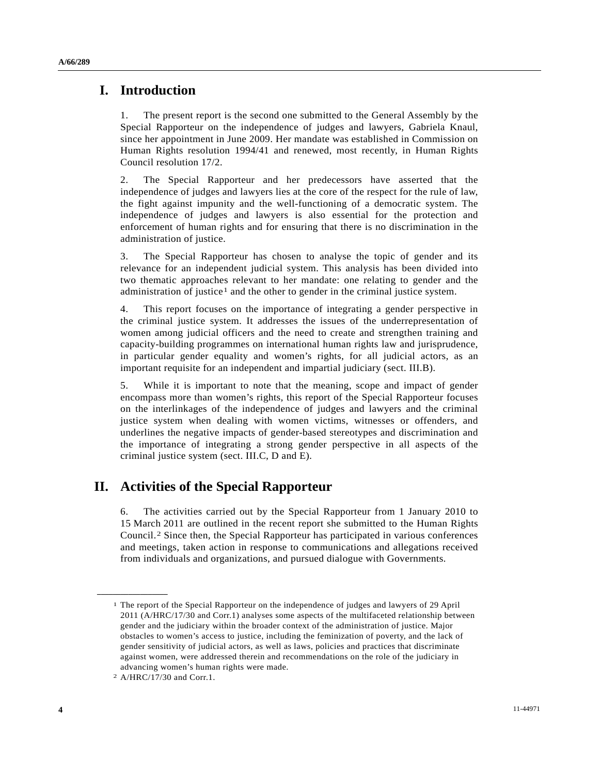## **I. Introduction**

1. The present report is the second one submitted to the General Assembly by the Special Rapporteur on the independence of judges and lawyers, Gabriela Knaul, since her appointment in June 2009. Her mandate was established in Commission on Human Rights resolution 1994/41 and renewed, most recently, in Human Rights Council resolution 17/2.

2. The Special Rapporteur and her predecessors have asserted that the independence of judges and lawyers lies at the core of the respect for the rule of law, the fight against impunity and the well-functioning of a democratic system. The independence of judges and lawyers is also essential for the protection and enforcement of human rights and for ensuring that there is no discrimination in the administration of justice.

3. The Special Rapporteur has chosen to analyse the topic of gender and its relevance for an independent judicial system. This analysis has been divided into two thematic approaches relevant to her mandate: one relating to gender and the administration of justice<sup>1</sup> and the other to gender in the criminal justice system.

4. This report focuses on the importance of integrating a gender perspective in the criminal justice system. It addresses the issues of the underrepresentation of women among judicial officers and the need to create and strengthen training and capacity-building programmes on international human rights law and jurisprudence, in particular gender equality and women's rights, for all judicial actors, as an important requisite for an independent and impartial judiciary (sect. III.B).

5. While it is important to note that the meaning, scope and impact of gender encompass more than women's rights, this report of the Special Rapporteur focuses on the interlinkages of the independence of judges and lawyers and the criminal justice system when dealing with women victims, witnesses or offenders, and underlines the negative impacts of gender-based stereotypes and discrimination and the importance of integrating a strong gender perspective in all aspects of the criminal justice system (sect. III.C, D and E).

# **II. Activities of the Special Rapporteur**

6. The activities carried out by the Special Rapporteur from 1 January 2010 to 15 March 2011 are outlined in the recent report she submitted to the Human Rights Council.[2](#page-3-1) Since then, the Special Rapporteur has participated in various conferences and meetings, taken action in response to communications and allegations received from individuals and organizations, and pursued dialogue with Governments.

<span id="page-3-0"></span><sup>1</sup> The report of the Special Rapporteur on the independence of judges and lawyers of 29 April 2011 (A/HRC/17/30 and Corr.1) analyses some aspects of the multifaceted relationship between gender and the judiciary within the broader context of the administration of justice. Major obstacles to women's access to justice, including the feminization of poverty, and the lack of gender sensitivity of judicial actors, as well as laws, policies and practices that discriminate against women, were addressed therein and recommendations on the role of the judiciary in advancing women's human rights were made.

<span id="page-3-1"></span><sup>2</sup> A/HRC/17/30 and Corr.1.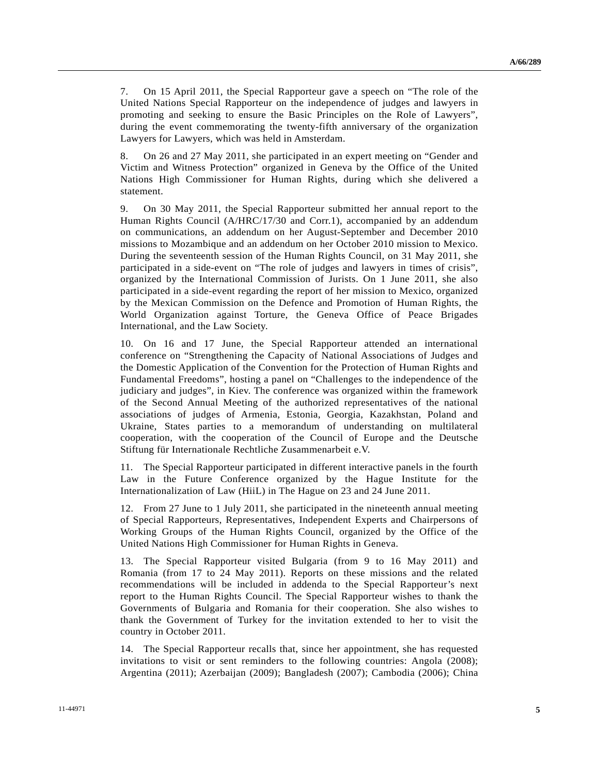7. On 15 April 2011, the Special Rapporteur gave a speech on "The role of the United Nations Special Rapporteur on the independence of judges and lawyers in promoting and seeking to ensure the Basic Principles on the Role of Lawyers", during the event commemorating the twenty-fifth anniversary of the organization Lawyers for Lawyers, which was held in Amsterdam.

8. On 26 and 27 May 2011, she participated in an expert meeting on "Gender and Victim and Witness Protection" organized in Geneva by the Office of the United Nations High Commissioner for Human Rights, during which she delivered a statement.

9. On 30 May 2011, the Special Rapporteur submitted her annual report to the Human Rights Council (A/HRC/17/30 and Corr.1), accompanied by an addendum on communications, an addendum on her August-September and December 2010 missions to Mozambique and an addendum on her October 2010 mission to Mexico. During the seventeenth session of the Human Rights Council, on 31 May 2011, she participated in a side-event on "The role of judges and lawyers in times of crisis", organized by the International Commission of Jurists. On 1 June 2011, she also participated in a side-event regarding the report of her mission to Mexico, organized by the Mexican Commission on the Defence and Promotion of Human Rights, the World Organization against Torture, the Geneva Office of Peace Brigades International, and the Law Society.

10. On 16 and 17 June, the Special Rapporteur attended an international conference on "Strengthening the Capacity of National Associations of Judges and the Domestic Application of the Convention for the Protection of Human Rights and Fundamental Freedoms", hosting a panel on "Challenges to the independence of the judiciary and judges", in Kiev. The conference was organized within the framework of the Second Annual Meeting of the authorized representatives of the national associations of judges of Armenia, Estonia, Georgia, Kazakhstan, Poland and Ukraine, States parties to a memorandum of understanding on multilateral cooperation, with the cooperation of the Council of Europe and the Deutsche Stiftung für Internationale Rechtliche Zusammenarbeit e.V.

11. The Special Rapporteur participated in different interactive panels in the fourth Law in the Future Conference organized by the Hague Institute for the Internationalization of Law (HiiL) in The Hague on 23 and 24 June 2011.

12. From 27 June to 1 July 2011, she participated in the nineteenth annual meeting of Special Rapporteurs, Representatives, Independent Experts and Chairpersons of Working Groups of the Human Rights Council, organized by the Office of the United Nations High Commissioner for Human Rights in Geneva.

13. The Special Rapporteur visited Bulgaria (from 9 to 16 May 2011) and Romania (from 17 to 24 May 2011). Reports on these missions and the related recommendations will be included in addenda to the Special Rapporteur's next report to the Human Rights Council. The Special Rapporteur wishes to thank the Governments of Bulgaria and Romania for their cooperation. She also wishes to thank the Government of Turkey for the invitation extended to her to visit the country in October 2011.

14. The Special Rapporteur recalls that, since her appointment, she has requested invitations to visit or sent reminders to the following countries: Angola (2008); Argentina (2011); Azerbaijan (2009); Bangladesh (2007); Cambodia (2006); China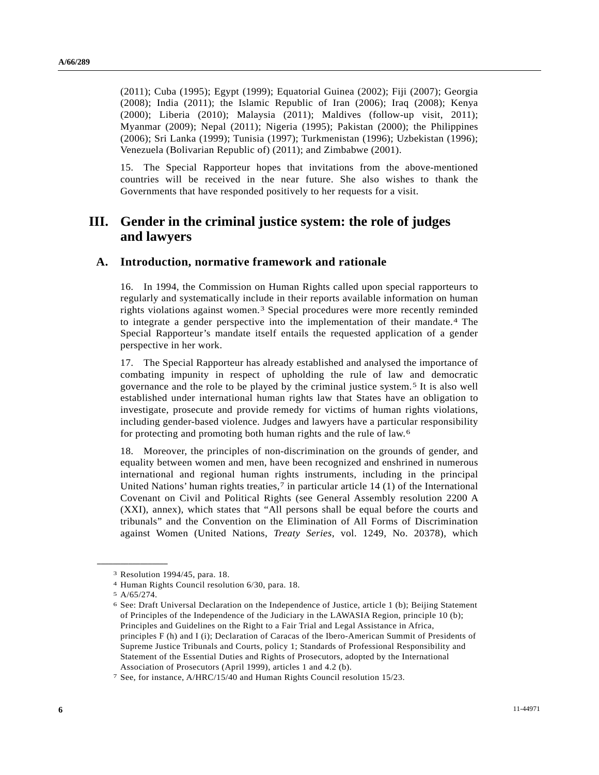(2011); Cuba (1995); Egypt (1999); Equatorial Guinea (2002); Fiji (2007); Georgia (2008); India (2011); the Islamic Republic of Iran (2006); Iraq (2008); Kenya (2000); Liberia (2010); Malaysia (2011); Maldives (follow-up visit, 2011); Myanmar (2009); Nepal (2011); Nigeria (1995); Pakistan (2000); the Philippines (2006); Sri Lanka (1999); Tunisia (1997); Turkmenistan (1996); Uzbekistan (1996); Venezuela (Bolivarian Republic of) (2011); and Zimbabwe (2001).

15. The Special Rapporteur hopes that invitations from the above-mentioned countries will be received in the near future. She also wishes to thank the Governments that have responded positively to her requests for a visit.

## **III. Gender in the criminal justice system: the role of judges and lawyers**

### **A. Introduction, normative framework and rationale**

16. In 1994, the Commission on Human Rights called upon special rapporteurs to regularly and systematically include in their reports available information on human rights violations against women.[3](#page-5-0) Special procedures were more recently reminded to integrate a gender perspective into the implementation of their mandate.[4](#page-5-1) The Special Rapporteur's mandate itself entails the requested application of a gender perspective in her work.

17. The Special Rapporteur has already established and analysed the importance of combating impunity in respect of upholding the rule of law and democratic governance and the role to be played by the criminal justice system.[5](#page-5-2) It is also well established under international human rights law that States have an obligation to investigate, prosecute and provide remedy for victims of human rights violations, including gender-based violence. Judges and lawyers have a particular responsibility for protecting and promoting both human rights and the rule of law.[6](#page-5-3)

18. Moreover, the principles of non-discrimination on the grounds of gender, and equality between women and men, have been recognized and enshrined in numerous international and regional human rights instruments, including in the principal United Nations' human rights treaties, $7$  in particular article 14 (1) of the International Covenant on Civil and Political Rights (see General Assembly resolution 2200 A (XXI), annex), which states that "All persons shall be equal before the courts and tribunals" and the Convention on the Elimination of All Forms of Discrimination against Women (United Nations, *Treaty Series*, vol. 1249, No. 20378), which

<span id="page-5-0"></span><sup>3</sup> Resolution 1994/45, para. 18.

<span id="page-5-2"></span><span id="page-5-1"></span><sup>4</sup> Human Rights Council resolution 6/30, para. 18.

<sup>5</sup> A/65/274.

<span id="page-5-3"></span><sup>6</sup> See: Draft Universal Declaration on the Independence of Justice, article 1 (b); Beijing Statement of Principles of the Independence of the Judiciary in the LAWASIA Region, principle 10 (b); Principles and Guidelines on the Right to a Fair Trial and Legal Assistance in Africa, principles F (h) and I (i); Declaration of Caracas of the Ibero-American Summit of Presidents of Supreme Justice Tribunals and Courts, policy 1; Standards of Professional Responsibility and Statement of the Essential Duties and Rights of Prosecutors, adopted by the International Association of Prosecutors (April 1999), articles 1 and 4.2 (b).

<span id="page-5-4"></span><sup>7</sup> See, for instance, A/HRC/15/40 and Human Rights Council resolution 15/23.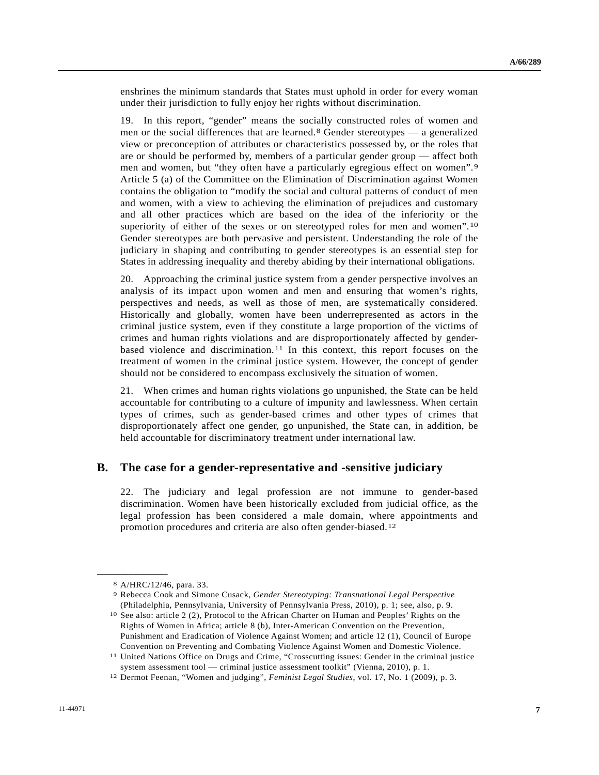enshrines the minimum standards that States must uphold in order for every woman under their jurisdiction to fully enjoy her rights without discrimination.

19. In this report, "gender" means the socially constructed roles of women and men or the social differences that are learned.[8](#page-6-0) Gender stereotypes — a generalized view or preconception of attributes or characteristics possessed by, or the roles that are or should be performed by, members of a particular gender group — affect both men and women, but "they often have a particularly egregious effect on women".[9](#page-6-1) Article 5 (a) of the Committee on the Elimination of Discrimination against Women contains the obligation to "modify the social and cultural patterns of conduct of men and women, with a view to achieving the elimination of prejudices and customary and all other practices which are based on the idea of the inferiority or the superiority of either of the sexes or on stereotyped roles for men and women".<sup>[10](#page-6-2)</sup> Gender stereotypes are both pervasive and persistent. Understanding the role of the judiciary in shaping and contributing to gender stereotypes is an essential step for States in addressing inequality and thereby abiding by their international obligations.

20. Approaching the criminal justice system from a gender perspective involves an analysis of its impact upon women and men and ensuring that women's rights, perspectives and needs, as well as those of men, are systematically considered. Historically and globally, women have been underrepresented as actors in the criminal justice system, even if they constitute a large proportion of the victims of crimes and human rights violations and are disproportionately affected by genderbased violence and discrimination.[1](#page-6-3)1 In this context, this report focuses on the treatment of women in the criminal justice system. However, the concept of gender should not be considered to encompass exclusively the situation of women.

21. When crimes and human rights violations go unpunished, the State can be held accountable for contributing to a culture of impunity and lawlessness. When certain types of crimes, such as gender-based crimes and other types of crimes that disproportionately affect one gender, go unpunished, the State can, in addition, be held accountable for discriminatory treatment under international law.

### **B. The case for a gender-representative and -sensitive judiciary**

22. The judiciary and legal profession are not immune to gender-based discrimination. Women have been historically excluded from judicial office, as the legal profession has been considered a male domain, where appointments and promotion procedures and criteria are also often gender-biased.[12](#page-6-4)

<sup>8</sup> A/HRC/12/46, para. 33.

<span id="page-6-1"></span><span id="page-6-0"></span><sup>9</sup> Rebecca Cook and Simone Cusack, *Gender Stereotyping: Transnational Legal Perspective* (Philadelphia, Pennsylvania, University of Pennsylvania Press, 2010), p. 1; see, also, p. 9.

<span id="page-6-2"></span><sup>10</sup> See also: article 2 (2), Protocol to the African Charter on Human and Peoples' Rights on the Rights of Women in Africa; article 8 (b), Inter-American Convention on the Prevention, Punishment and Eradication of Violence Against Women; and article 12 (1), Council of Europe Convention on Preventing and Combating Violence Against Women and Domestic Violence.

<span id="page-6-3"></span><sup>11</sup> United Nations Office on Drugs and Crime, "Crosscutting issues: Gender in the criminal justice system assessment tool — criminal justice assessment toolkit" (Vienna, 2010), p. 1.

<span id="page-6-4"></span><sup>12</sup> Dermot Feenan, "Women and judging", *Feminist Legal Studies*, vol. 17, No. 1 (2009), p. 3.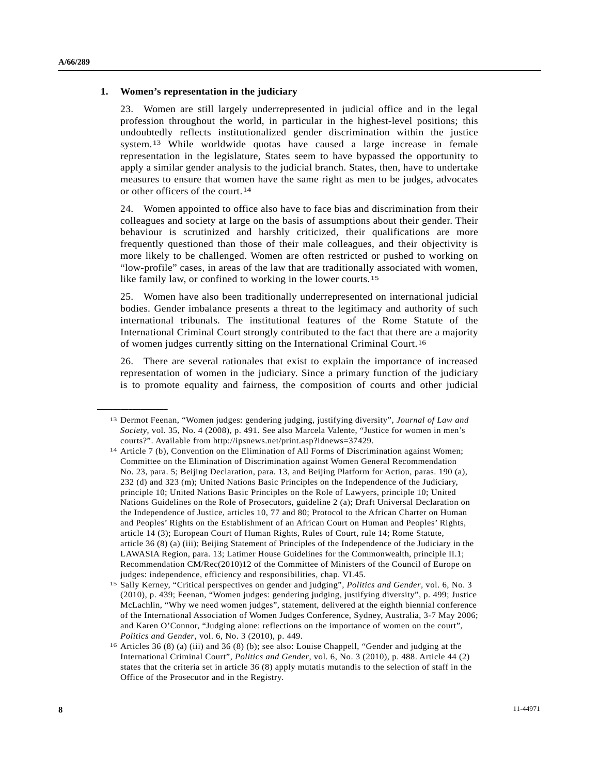#### **1. Women's representation in the judiciary**

<span id="page-7-1"></span><span id="page-7-0"></span>**\_\_\_\_\_\_\_\_\_\_\_\_\_\_\_\_\_\_** 

23. Women are still largely underrepresented in judicial office and in the legal profession throughout the world, in particular in the highest-level positions; this undoubtedly reflects institutionalized gender discrimination within the justice system.[1](#page-7-0)3 While worldwide quotas have caused a large increase in female representation in the legislature, States seem to have bypassed the opportunity to apply a similar gender analysis to the judicial branch. States, then, have to undertake measures to ensure that women have the same right as men to be judges, advocates or other officers of the court.[14](#page-7-1)

24. Women appointed to office also have to face bias and discrimination from their colleagues and society at large on the basis of assumptions about their gender. Their behaviour is scrutinized and harshly criticized, their qualifications are more frequently questioned than those of their male colleagues, and their objectivity is more likely to be challenged. Women are often restricted or pushed to working on "low-profile" cases, in areas of the law that are traditionally associated with women, like family law, or confined to working in the lower courts.[1](#page-7-2)5

25. Women have also been traditionally underrepresented on international judicial bodies. Gender imbalance presents a threat to the legitimacy and authority of such international tribunals. The institutional features of the Rome Statute of the International Criminal Court strongly contributed to the fact that there are a majority of women judges currently sitting on the International Criminal Court.[16](#page-7-3)

26. There are several rationales that exist to explain the importance of increased representation of women in the judiciary. Since a primary function of the judiciary is to promote equality and fairness, the composition of courts and other judicial

<sup>13</sup> Dermot Feenan, "Women judges: gendering judging, justifying diversity", *Journal of Law and Society*, vol. 35, No. 4 (2008), p. 491. See also Marcela Valente, "Justice for women in men's courts?". Available from http://ipsnews.net/print.asp?idnews=37429.

<sup>14</sup> Article 7 (b), Convention on the Elimination of All Forms of Discrimination against Women; Committee on the Elimination of Discrimination against Women General Recommendation No. 23, para. 5; Beijing Declaration, para. 13, and Beijing Platform for Action, paras. 190 (a), 232 (d) and 323 (m); United Nations Basic Principles on the Independence of the Judiciary, principle 10; United Nations Basic Principles on the Role of Lawyers, principle 10; United Nations Guidelines on the Role of Prosecutors, guideline 2 (a); Draft Universal Declaration on the Independence of Justice, articles 10, 77 and 80; Protocol to the African Charter on Human and Peoples' Rights on the Establishment of an African Court on Human and Peoples' Rights, article 14 (3); European Court of Human Rights, Rules of Court, rule 14; Rome Statute, article 36 (8) (a) (iii); Beijing Statement of Principles of the Independence of the Judiciary in the LAWASIA Region, para. 13; Latimer House Guidelines for the Commonwealth, principle II.1; Recommendation CM/Rec(2010)12 of the Committee of Ministers of the Council of Europe on judges: independence, efficiency and responsibilities, chap. VI.45.

<span id="page-7-2"></span><sup>15</sup> Sally Kerney, "Critical perspectives on gender and judging", *Politics and Gender*, vol. 6, No. 3 (2010), p. 439; Feenan, "Women judges: gendering judging, justifying diversity", p. 499; Justice McLachlin, "Why we need women judges", statement, delivered at the eighth biennial conference of the International Association of Women Judges Conference, Sydney, Australia, 3-7 May 2006; and Karen O'Connor, "Judging alone: reflections on the importance of women on the court", *Politics and Gender*, vol. 6, No. 3 (2010), p. 449.<br><sup>16</sup> Articles 36 (8) (a) (iii) and 36 (8) (b); see also: Louise Chappell, "Gender and judging at the

<span id="page-7-3"></span>International Criminal Court", *Politics and Gender*, vol. 6, No. 3 (2010), p. 488. Article 44 (2) states that the criteria set in article 36 (8) apply mutatis mutandis to the selection of staff in the Office of the Prosecutor and in the Registry.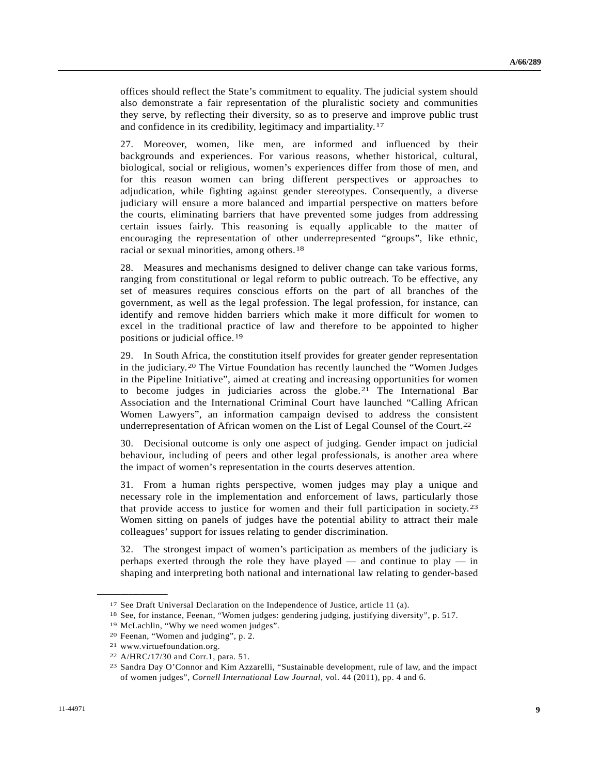offices should reflect the State's commitment to equality. The judicial system should also demonstrate a fair representation of the pluralistic society and communities they serve, by reflecting their diversity, so as to preserve and improve public trust and confidence in its credibility, legitimacy and impartiality.[17](#page-8-0)

27. Moreover, women, like men, are informed and influenced by their backgrounds and experiences. For various reasons, whether historical, cultural, biological, social or religious, women's experiences differ from those of men, and for this reason women can bring different perspectives or approaches to adjudication, while fighting against gender stereotypes. Consequently, a diverse judiciary will ensure a more balanced and impartial perspective on matters before the courts, eliminating barriers that have prevented some judges from addressing certain issues fairly. This reasoning is equally applicable to the matter of encouraging the representation of other underrepresented "groups", like ethnic, racial or sexual minorities, among others.[18](#page-8-1)

28. Measures and mechanisms designed to deliver change can take various forms, ranging from constitutional or legal reform to public outreach. To be effective, any set of measures requires conscious efforts on the part of all branches of the government, as well as the legal profession. The legal profession, for instance, can identify and remove hidden barriers which make it more difficult for women to excel in the traditional practice of law and therefore to be appointed to higher positions or judicial office.[1](#page-8-2)9

29. In South Africa, the constitution itself provides for greater gender representation in the judiciary.[2](#page-8-3)0 The Virtue Foundation has recently launched the "Women Judges in the Pipeline Initiative", aimed at creating and increasing opportunities for women to become judges in judiciaries across the globe.[21](#page-8-4) The International Bar Association and the International Criminal Court have launched "Calling African Women Lawyers", an information campaign devised to address the consistent underrepresentation of African women on the List of Legal Counsel of the Court.[22](#page-8-5)

30. Decisional outcome is only one aspect of judging. Gender impact on judicial behaviour, including of peers and other legal professionals, is another area where the impact of women's representation in the courts deserves attention.

31. From a human rights perspective, women judges may play a unique and necessary role in the implementation and enforcement of laws, particularly those that provide access to justice for women and their full participation in society.[23](#page-8-6) Women sitting on panels of judges have the potential ability to attract their male colleagues' support for issues relating to gender discrimination.

32. The strongest impact of women's participation as members of the judiciary is perhaps exerted through the role they have played — and continue to play — in shaping and interpreting both national and international law relating to gender-based

<span id="page-8-1"></span><span id="page-8-0"></span><sup>17</sup> See Draft Universal Declaration on the Independence of Justice, article 11 (a).<br><sup>18</sup> See, for instance, Feenan, "Women judges: gendering judging, justifying diversity", p. 517.<br><sup>19</sup> McLachlin, "Why we need women judges"

<span id="page-8-3"></span><span id="page-8-2"></span><sup>20</sup> Feenan, "Women and judging", p. 2.

<span id="page-8-4"></span><sup>21</sup> www.virtuefoundation.org.

<span id="page-8-5"></span><sup>22</sup> A/HRC/17/30 and Corr.1, para. 51.

<span id="page-8-6"></span><sup>23</sup> Sandra Day O'Connor and Kim Azzarelli, "Sustainable development, rule of law, and the impact of women judges", *Cornell International Law Journal*, vol. 44 (2011), pp. 4 and 6.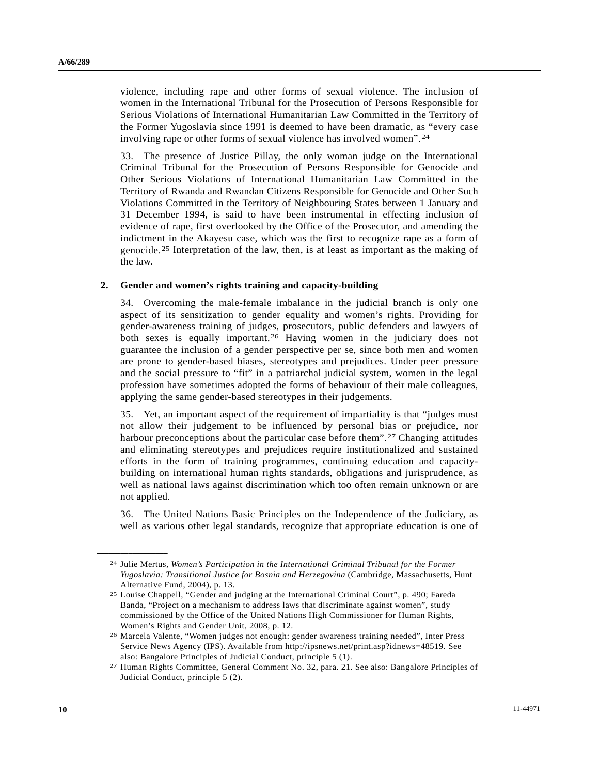violence, including rape and other forms of sexual violence. The inclusion of women in the International Tribunal for the Prosecution of Persons Responsible for Serious Violations of International Humanitarian Law Committed in the Territory of the Former Yugoslavia since 1991 is deemed to have been dramatic, as "every case involving rape or other forms of sexual violence has involved women".[2](#page-9-0)4

33. The presence of Justice Pillay, the only woman judge on the International Criminal Tribunal for the Prosecution of Persons Responsible for Genocide and Other Serious Violations of International Humanitarian Law Committed in the Territory of Rwanda and Rwandan Citizens Responsible for Genocide and Other Such Violations Committed in the Territory of Neighbouring States between 1 January and 31 December 1994, is said to have been instrumental in effecting inclusion of evidence of rape, first overlooked by the Office of the Prosecutor, and amending the indictment in the Akayesu case, which was the first to recognize rape as a form of genocide.[2](#page-9-1)5 Interpretation of the law, then, is at least as important as the making of the law.

#### **2. Gender and women's rights training and capacity-building**

34. Overcoming the male-female imbalance in the judicial branch is only one aspect of its sensitization to gender equality and women's rights. Providing for gender-awareness training of judges, prosecutors, public defenders and lawyers of both sexes is equally important.[26](#page-9-2) Having women in the judiciary does not guarantee the inclusion of a gender perspective per se, since both men and women are prone to gender-based biases, stereotypes and prejudices. Under peer pressure and the social pressure to "fit" in a patriarchal judicial system, women in the legal profession have sometimes adopted the forms of behaviour of their male colleagues, applying the same gender-based stereotypes in their judgements.

35. Yet, an important aspect of the requirement of impartiality is that "judges must not allow their judgement to be influenced by personal bias or prejudice, nor harbour preconceptions about the particular case before them".<sup>[2](#page-9-3)7</sup> Changing attitudes and eliminating stereotypes and prejudices require institutionalized and sustained efforts in the form of training programmes, continuing education and capacitybuilding on international human rights standards, obligations and jurisprudence, as well as national laws against discrimination which too often remain unknown or are not applied.

36. The United Nations Basic Principles on the Independence of the Judiciary, as well as various other legal standards, recognize that appropriate education is one of

<span id="page-9-0"></span><sup>24</sup> Julie Mertus, *Women's Participation in the International Criminal Tribunal for the Former Yugoslavia: Transitional Justice for Bosnia and Herzegovina* (Cambridge, Massachusetts, Hunt Alternative Fund, 2004), p. 13.

<span id="page-9-1"></span><sup>25</sup> Louise Chappell, "Gender and judging at the International Criminal Court", p. 490; Fareda Banda, "Project on a mechanism to address laws that discriminate against women", study commissioned by the Office of the United Nations High Commissioner for Human Rights, Women's Rights and Gender Unit, 2008, p. 12.

<span id="page-9-2"></span><sup>26</sup> Marcela Valente, "Women judges not enough: gender awareness training needed", Inter Press Service News Agency (IPS). Available from http://ipsnews.net/print.asp?idnews=48519. See also: Bangalore Principles of Judicial Conduct, principle 5 (1).

<span id="page-9-3"></span><sup>27</sup> Human Rights Committee, General Comment No. 32, para. 21. See also: Bangalore Principles of Judicial Conduct, principle 5 (2).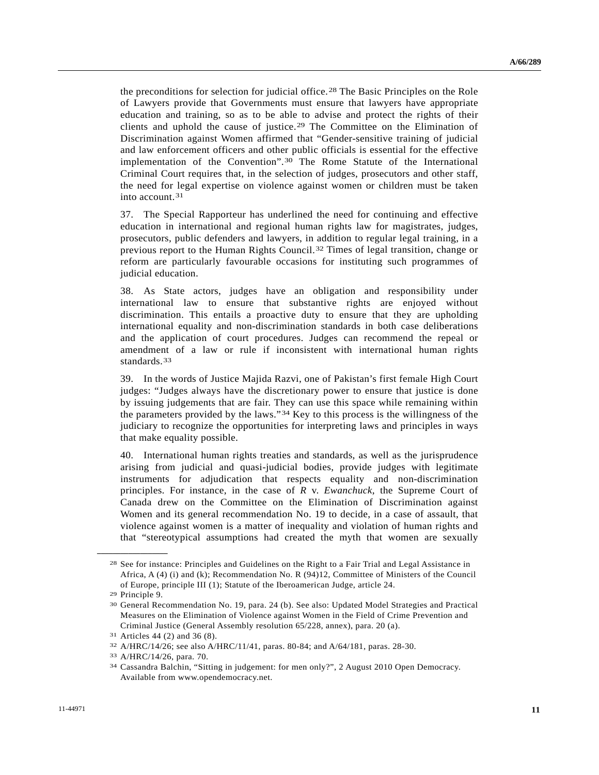the preconditions for selection for judicial office.[2](#page-10-0)8 The Basic Principles on the Role of Lawyers provide that Governments must ensure that lawyers have appropriate education and training, so as to be able to advise and protect the rights of their clients and uphold the cause of justice.[29](#page-10-1) The Committee on the Elimination of Discrimination against Women affirmed that "Gender-sensitive training of judicial and law enforcement officers and other public officials is essential for the effective implementation of the Convention".[3](#page-10-2)0 The Rome Statute of the International Criminal Court requires that, in the selection of judges, prosecutors and other staff, the need for legal expertise on violence against women or children must be taken into account.[31](#page-10-3)

37. The Special Rapporteur has underlined the need for continuing and effective education in international and regional human rights law for magistrates, judges, prosecutors, public defenders and lawyers, in addition to regular legal training, in a previous report to the Human Rights Council.[32](#page-10-4) Times of legal transition, change or reform are particularly favourable occasions for instituting such programmes of judicial education.

38. As State actors, judges have an obligation and responsibility under international law to ensure that substantive rights are enjoyed without discrimination. This entails a proactive duty to ensure that they are upholding international equality and non-discrimination standards in both case deliberations and the application of court procedures. Judges can recommend the repeal or amendment of a law or rule if inconsistent with international human rights standards.<sup>[3](#page-10-5)3</sup>

39. In the words of Justice Majida Razvi, one of Pakistan's first female High Court judges: "Judges always have the discretionary power to ensure that justice is done by issuing judgements that are fair. They can use this space while remaining within the parameters provided by the laws."[3](#page-10-6)4 Key to this process is the willingness of the judiciary to recognize the opportunities for interpreting laws and principles in ways that make equality possible.

40. International human rights treaties and standards, as well as the jurisprudence arising from judicial and quasi-judicial bodies, provide judges with legitimate instruments for adjudication that respects equality and non-discrimination principles. For instance, in the case of *R* v. *Ewanchuck*, the Supreme Court of Canada drew on the Committee on the Elimination of Discrimination against Women and its general recommendation No. 19 to decide, in a case of assault, that violence against women is a matter of inequality and violation of human rights and that "stereotypical assumptions had created the myth that women are sexually

<span id="page-10-0"></span><sup>28</sup> See for instance: Principles and Guidelines on the Right to a Fair Trial and Legal Assistance in Africa, A (4) (i) and (k); Recommendation No. R (94)12, Committee of Ministers of the Council of Europe, principle III (1); Statute of the Iberoamerican Judge, article 24.

<span id="page-10-1"></span><sup>29</sup> Principle 9.

<span id="page-10-2"></span><sup>30</sup> General Recommendation No. 19, para. 24 (b). See also: Updated Model Strategies and Practical Measures on the Elimination of Violence against Women in the Field of Crime Prevention and Criminal Justice (General Assembly resolution 65/228, annex), para. 20 (a).

<span id="page-10-3"></span><sup>31</sup> Articles 44 (2) and 36 (8).

<span id="page-10-5"></span><span id="page-10-4"></span><sup>32</sup> A/HRC/14/26; see also A/HRC/11/41, paras. 80-84; and A/64/181, paras. 28-30. 33 A/HRC/14/26, para. 70.

<span id="page-10-6"></span><sup>34</sup> Cassandra Balchin, "Sitting in judgement: for men only?", 2 August 2010 Open Democracy. Available from www.opendemocracy.net.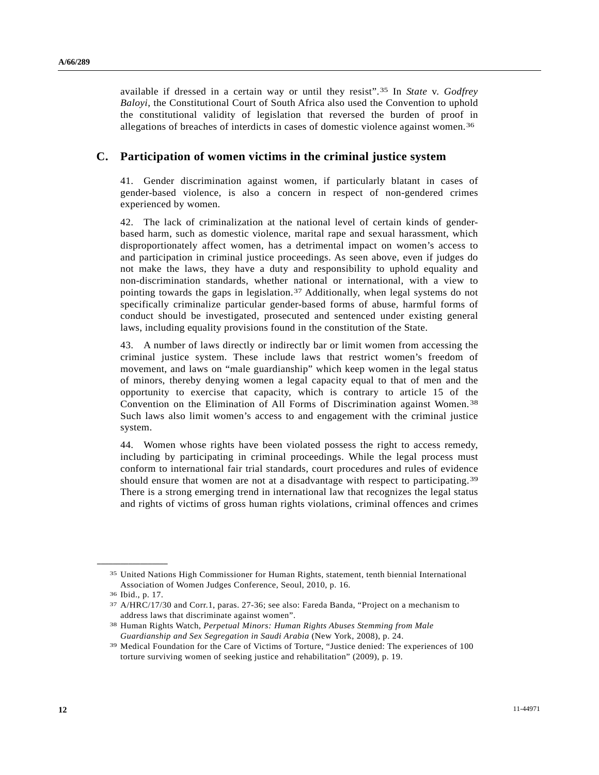available if dressed in a certain way or until they resist".[35](#page-11-0) In *State* v. *Godfrey Baloyi*, the Constitutional Court of South Africa also used the Convention to uphold the constitutional validity of legislation that reversed the burden of proof in allegations of breaches of interdicts in cases of domestic violence against women.[36](#page-11-1)

### **C. Participation of women victims in the criminal justice system**

41. Gender discrimination against women, if particularly blatant in cases of gender-based violence, is also a concern in respect of non-gendered crimes experienced by women.

42. The lack of criminalization at the national level of certain kinds of genderbased harm, such as domestic violence, marital rape and sexual harassment, which disproportionately affect women, has a detrimental impact on women's access to and participation in criminal justice proceedings. As seen above, even if judges do not make the laws, they have a duty and responsibility to uphold equality and non-discrimination standards, whether national or international, with a view to pointing towards the gaps in legislation.[37](#page-11-2) Additionally, when legal systems do not specifically criminalize particular gender-based forms of abuse, harmful forms of conduct should be investigated, prosecuted and sentenced under existing general laws, including equality provisions found in the constitution of the State.

43. A number of laws directly or indirectly bar or limit women from accessing the criminal justice system. These include laws that restrict women's freedom of movement, and laws on "male guardianship" which keep women in the legal status of minors, thereby denying women a legal capacity equal to that of men and the opportunity to exercise that capacity, which is contrary to article 15 of the Convention on the Elimination of All Forms of Discrimination against Women.<sup>[38](#page-11-3)</sup> Such laws also limit women's access to and engagement with the criminal justice system.

44. Women whose rights have been violated possess the right to access remedy, including by participating in criminal proceedings. While the legal process must conform to international fair trial standards, court procedures and rules of evidence should ensure that women are not at a disadvantage with respect to participating.[39](#page-11-4) There is a strong emerging trend in international law that recognizes the legal status and rights of victims of gross human rights violations, criminal offences and crimes

<span id="page-11-0"></span><sup>35</sup> United Nations High Commissioner for Human Rights, statement, tenth biennial International Association of Women Judges Conference, Seoul, 2010, p. 16.

<span id="page-11-1"></span><sup>36</sup> Ibid., p. 17.

<span id="page-11-2"></span><sup>37</sup> A/HRC/17/30 and Corr.1, paras. 27-36; see also: Fareda Banda, "Project on a mechanism to address laws that discriminate against women".

<span id="page-11-3"></span><sup>38</sup> Human Rights Watch, *Perpetual Minors: Human Rights Abuses Stemming from Male* 

<span id="page-11-4"></span>*Guardianship and Sex Segregation in Saudi Arabia* (New York, 2008), p. 24. 39 Medical Foundation for the Care of Victims of Torture, "Justice denied: The experiences of 100 torture surviving women of seeking justice and rehabilitation" (2009), p. 19.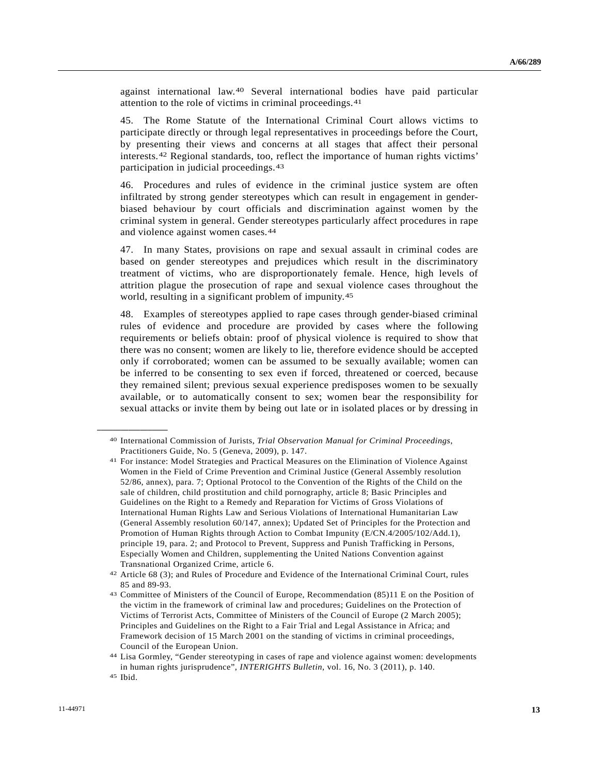against international law.[4](#page-12-0)0 Several international bodies have paid particular attention to the role of victims in criminal proceedings.[41](#page-12-1)

45. The Rome Statute of the International Criminal Court allows victims to participate directly or through legal representatives in proceedings before the Court, by presenting their views and concerns at all stages that affect their personal interests.[42](#page-12-2) Regional standards, too, reflect the importance of human rights victims' participation in judicial proceedings.[4](#page-12-3)3

46. Procedures and rules of evidence in the criminal justice system are often infiltrated by strong gender stereotypes which can result in engagement in genderbiased behaviour by court officials and discrimination against women by the criminal system in general. Gender stereotypes particularly affect procedures in rape and violence against women cases.[4](#page-12-4)4

47. In many States, provisions on rape and sexual assault in criminal codes are based on gender stereotypes and prejudices which result in the discriminatory treatment of victims, who are disproportionately female. Hence, high levels of attrition plague the prosecution of rape and sexual violence cases throughout the world, resulting in a significant problem of impunity.[4](#page-12-5)5

48. Examples of stereotypes applied to rape cases through gender-biased criminal rules of evidence and procedure are provided by cases where the following requirements or beliefs obtain: proof of physical violence is required to show that there was no consent; women are likely to lie, therefore evidence should be accepted only if corroborated; women can be assumed to be sexually available; women can be inferred to be consenting to sex even if forced, threatened or coerced, because they remained silent; previous sexual experience predisposes women to be sexually available, or to automatically consent to sex; women bear the responsibility for sexual attacks or invite them by being out late or in isolated places or by dressing in

<span id="page-12-0"></span><sup>40</sup> International Commission of Jurists, *Trial Observation Manual for Criminal Proceedings*, Practitioners Guide, No. 5 (Geneva, 2009), p. 147.

<span id="page-12-1"></span><sup>41</sup> For instance: Model Strategies and Practical Measures on the Elimination of Violence Against Women in the Field of Crime Prevention and Criminal Justice (General Assembly resolution 52/86, annex), para. 7; Optional Protocol to the Convention of the Rights of the Child on the sale of children, child prostitution and child pornography, article 8; Basic Principles and Guidelines on the Right to a Remedy and Reparation for Victims of Gross Violations of International Human Rights Law and Serious Violations of International Humanitarian Law (General Assembly resolution 60/147, annex); Updated Set of Principles for the Protection and Promotion of Human Rights through Action to Combat Impunity (E/CN.4/2005/102/Add.1), principle 19, para. 2; and Protocol to Prevent, Suppress and Punish Trafficking in Persons, Especially Women and Children, supplementing the United Nations Convention against Transnational Organized Crime, article 6.

<span id="page-12-2"></span><sup>42</sup> Article 68 (3); and Rules of Procedure and Evidence of the International Criminal Court, rules 85 and 89-93.

<span id="page-12-3"></span><sup>43</sup> Committee of Ministers of the Council of Europe, Recommendation (85)11 E on the Position of the victim in the framework of criminal law and procedures; Guidelines on the Protection of Victims of Terrorist Acts, Committee of Ministers of the Council of Europe (2 March 2005); Principles and Guidelines on the Right to a Fair Trial and Legal Assistance in Africa; and Framework decision of 15 March 2001 on the standing of victims in criminal proceedings, Council of the European Union.

<span id="page-12-4"></span><sup>44</sup> Lisa Gormley, "Gender stereotyping in cases of rape and violence against women: developments in human rights jurisprudence", *INTERIGHTS Bulletin*, vol. 16, No. 3 (2011), p. 140. 45 Ibid.

<span id="page-12-5"></span>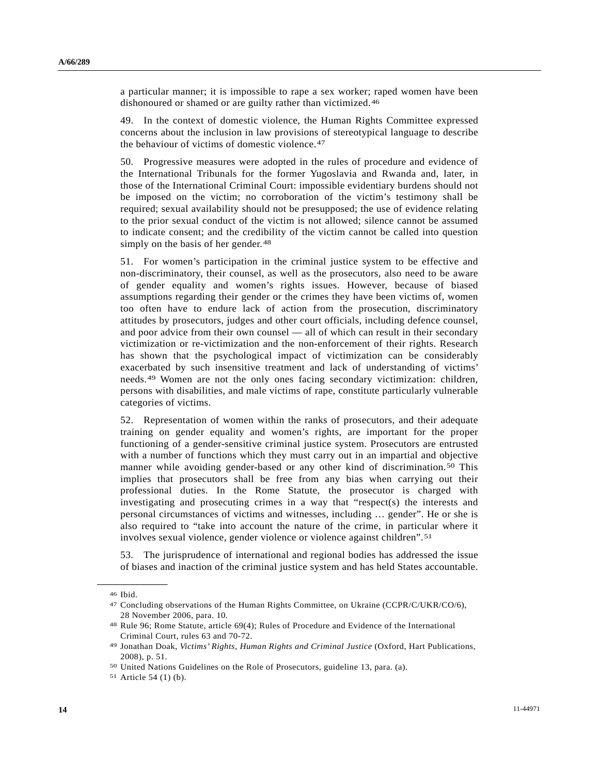a particular manner; it is impossible to rape a sex worker; raped women have been dishonoured or shamed or are guilty rather than victimized.<sup>[46](#page-13-0)</sup>

49. In the context of domestic violence, the Human Rights Committee expressed concerns about the inclusion in law provisions of stereotypical language to describe the behaviour of victims of domestic violence.[4](#page-13-1)7

50. Progressive measures were adopted in the rules of procedure and evidence of the International Tribunals for the former Yugoslavia and Rwanda and, later, in those of the International Criminal Court: impossible evidentiary burdens should not be imposed on the victim; no corroboration of the victim's testimony shall be required; sexual availability should not be presupposed; the use of evidence relating to the prior sexual conduct of the victim is not allowed; silence cannot be assumed to indicate consent; and the credibility of the victim cannot be called into question simply on the basis of her gender.<sup>[4](#page-13-2)8</sup>

51. For women's participation in the criminal justice system to be effective and non-discriminatory, their counsel, as well as the prosecutors, also need to be aware of gender equality and women's rights issues. However, because of biased assumptions regarding their gender or the crimes they have been victims of, women too often have to endure lack of action from the prosecution, discriminatory attitudes by prosecutors, judges and other court officials, including defence counsel, and poor advice from their own counsel — all of which can result in their secondary victimization or re-victimization and the non-enforcement of their rights. Research has shown that the psychological impact of victimization can be considerably exacerbated by such insensitive treatment and lack of understanding of victims' needs.[49](#page-13-3) Women are not the only ones facing secondary victimization: children, persons with disabilities, and male victims of rape, constitute particularly vulnerable categories of victims.

52. Representation of women within the ranks of prosecutors, and their adequate training on gender equality and women's rights, are important for the proper functioning of a gender-sensitive criminal justice system. Prosecutors are entrusted with a number of functions which they must carry out in an impartial and objective manner while avoiding gender-based or any other kind of discrimination.[50](#page-13-4) This implies that prosecutors shall be free from any bias when carrying out their professional duties. In the Rome Statute, the prosecutor is charged with investigating and prosecuting crimes in a way that "respect(s) the interests and personal circumstances of victims and witnesses, including … gender". He or she is also required to "take into account the nature of the crime, in particular where it involves sexual violence, gender violence or violence against children".[51](#page-13-5)

53. The jurisprudence of international and regional bodies has addressed the issue of biases and inaction of the criminal justice system and has held States accountable.

<span id="page-13-1"></span><span id="page-13-0"></span><sup>46</sup> Ibid.

<sup>47</sup> Concluding observations of the Human Rights Committee, on Ukraine (CCPR/C/UKR/CO/6), 28 November 2006, para. 10.

<span id="page-13-2"></span><sup>48</sup> Rule 96; Rome Statute, article 69(4); Rules of Procedure and Evidence of the International Criminal Court, rules 63 and 70-72.

<span id="page-13-3"></span><sup>49</sup> Jonathan Doak, *Victims' Rights, Human Rights and Criminal Justice* (Oxford, Hart Publications, 2008), p. 51.

<span id="page-13-5"></span><span id="page-13-4"></span><sup>50</sup> United Nations Guidelines on the Role of Prosecutors, guideline 13, para. (a). 51 Article 54 (1) (b).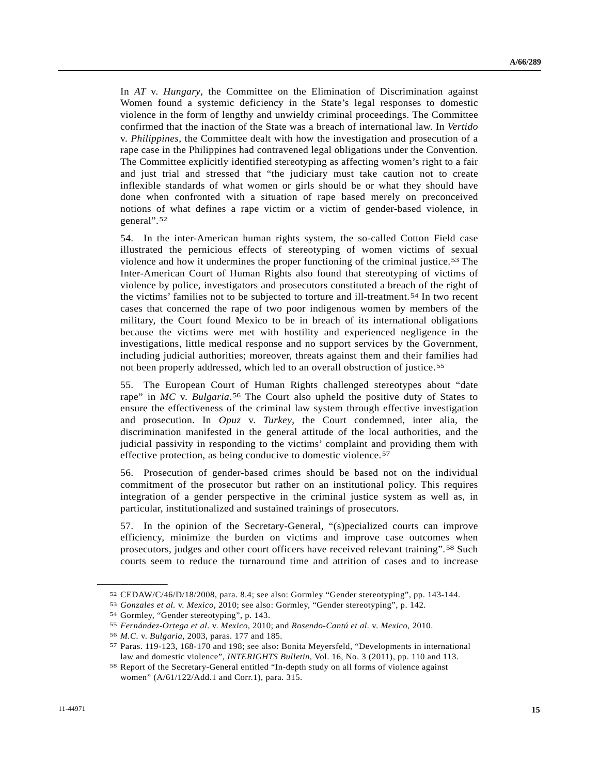In *AT* v. *Hungary*, the Committee on the Elimination of Discrimination against Women found a systemic deficiency in the State's legal responses to domestic violence in the form of lengthy and unwieldy criminal proceedings. The Committee confirmed that the inaction of the State was a breach of international law. In *Vertido*  v. *Philippines*, the Committee dealt with how the investigation and prosecution of a rape case in the Philippines had contravened legal obligations under the Convention. The Committee explicitly identified stereotyping as affecting women's right to a fair and just trial and stressed that "the judiciary must take caution not to create inflexible standards of what women or girls should be or what they should have done when confronted with a situation of rape based merely on preconceived notions of what defines a rape victim or a victim of gender-based violence, in general".[5](#page-14-0)2

54. In the inter-American human rights system, the so-called Cotton Field case illustrated the pernicious effects of stereotyping of women victims of sexual violence and how it undermines the proper functioning of the criminal justice.[5](#page-14-1)3 The Inter-American Court of Human Rights also found that stereotyping of victims of violence by police, investigators and prosecutors constituted a breach of the right of the victims' families not to be subjected to torture and ill-treatment.[54](#page-14-2) In two recent cases that concerned the rape of two poor indigenous women by members of the military, the Court found Mexico to be in breach of its international obligations because the victims were met with hostility and experienced negligence in the investigations, little medical response and no support services by the Government, including judicial authorities; moreover, threats against them and their families had not been properly addressed, which led to an overall obstruction of justice.[5](#page-14-3)5

55. The European Court of Human Rights challenged stereotypes about "date rape" in *MC* v. *Bulgaria*.[5](#page-14-4)6 The Court also upheld the positive duty of States to ensure the effectiveness of the criminal law system through effective investigation and prosecution. In *Opuz* v. *Turkey*, the Court condemned, inter alia, the discrimination manifested in the general attitude of the local authorities, and the judicial passivity in responding to the victims' complaint and providing them with effective protection, as being conducive to domestic violence.[57](#page-14-5)

56. Prosecution of gender-based crimes should be based not on the individual commitment of the prosecutor but rather on an institutional policy. This requires integration of a gender perspective in the criminal justice system as well as, in particular, institutionalized and sustained trainings of prosecutors.

57. In the opinion of the Secretary-General, "(s)pecialized courts can improve efficiency, minimize the burden on victims and improve case outcomes when prosecutors, judges and other court officers have received relevant training".[5](#page-14-6)8 Such courts seem to reduce the turnaround time and attrition of cases and to increase

<span id="page-14-1"></span><span id="page-14-0"></span><sup>&</sup>lt;sup>52</sup> CEDAW/C/46/D/18/2008, para. 8.4; see also: Gormley "Gender stereotyping", pp. 143-144.<br><sup>53</sup> Gonzales et al. v. Mexico, 2010; see also: Gormley, "Gender stereotyping", p. 142.<br><sup>54</sup> Gormley, "Gender stereotyping", p. 1

<span id="page-14-2"></span>

<span id="page-14-5"></span><span id="page-14-4"></span><span id="page-14-3"></span><sup>&</sup>lt;sup>55</sup> Fernández-Ortega et al. v. Mexico, 2010; and Rosendo-Cantú et al. v. Mexico, 2010.<br><sup>56</sup> M.C. v. Bulgaria, 2003, paras. 177 and 185.<br><sup>57</sup> Paras. 119-123, 168-170 and 198; see also: Bonita Meyersfeld, "Developments in i law and domestic violence", *INTERIGHTS Bulletin*, Vol. 16, No. 3 (2011), pp. 110 and 113.<br><sup>58</sup> Report of the Secretary-General entitled "In-depth study on all forms of violence against

<span id="page-14-6"></span>women" (A/61/122/Add.1 and Corr.1), para. 315.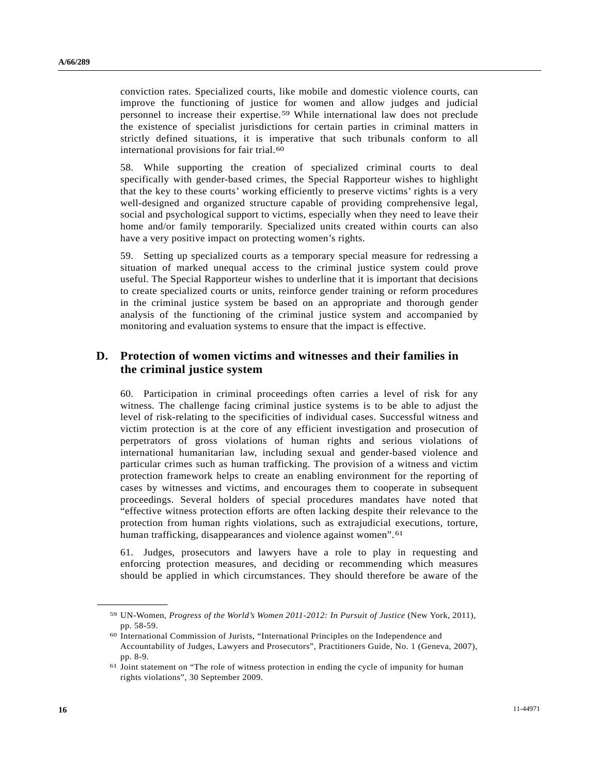conviction rates. Specialized courts, like mobile and domestic violence courts, can improve the functioning of justice for women and allow judges and judicial personnel to increase their expertise.[5](#page-15-0)9 While international law does not preclude the existence of specialist jurisdictions for certain parties in criminal matters in strictly defined situations, it is imperative that such tribunals conform to all international provisions for fair trial.<sup>[6](#page-15-1)0</sup>

58. While supporting the creation of specialized criminal courts to deal specifically with gender-based crimes, the Special Rapporteur wishes to highlight that the key to these courts' working efficiently to preserve victims' rights is a very well-designed and organized structure capable of providing comprehensive legal, social and psychological support to victims, especially when they need to leave their home and/or family temporarily. Specialized units created within courts can also have a very positive impact on protecting women's rights.

59. Setting up specialized courts as a temporary special measure for redressing a situation of marked unequal access to the criminal justice system could prove useful. The Special Rapporteur wishes to underline that it is important that decisions to create specialized courts or units, reinforce gender training or reform procedures in the criminal justice system be based on an appropriate and thorough gender analysis of the functioning of the criminal justice system and accompanied by monitoring and evaluation systems to ensure that the impact is effective.

### **D. Protection of women victims and witnesses and their families in the criminal justice system**

60. Participation in criminal proceedings often carries a level of risk for any witness. The challenge facing criminal justice systems is to be able to adjust the level of risk-relating to the specificities of individual cases. Successful witness and victim protection is at the core of any efficient investigation and prosecution of perpetrators of gross violations of human rights and serious violations of international humanitarian law, including sexual and gender-based violence and particular crimes such as human trafficking. The provision of a witness and victim protection framework helps to create an enabling environment for the reporting of cases by witnesses and victims, and encourages them to cooperate in subsequent proceedings. Several holders of special procedures mandates have noted that "effective witness protection efforts are often lacking despite their relevance to the protection from human rights violations, such as extrajudicial executions, torture, human trafficking, disappearances and violence against women".<sup>[6](#page-15-2)1</sup>

61. Judges, prosecutors and lawyers have a role to play in requesting and enforcing protection measures, and deciding or recommending which measures should be applied in which circumstances. They should therefore be aware of the

<span id="page-15-0"></span><sup>59</sup> UN-Women, *Progress of the World's Women 2011-2012: In Pursuit of Justice* (New York, 2011), pp. 58-59.

<span id="page-15-1"></span><sup>60</sup> International Commission of Jurists, "International Principles on the Independence and Accountability of Judges, Lawyers and Prosecutors", Practitioners Guide, No. 1 (Geneva, 2007), pp. 8-9.

<span id="page-15-2"></span><sup>61</sup> Joint statement on "The role of witness protection in ending the cycle of impunity for human rights violations", 30 September 2009.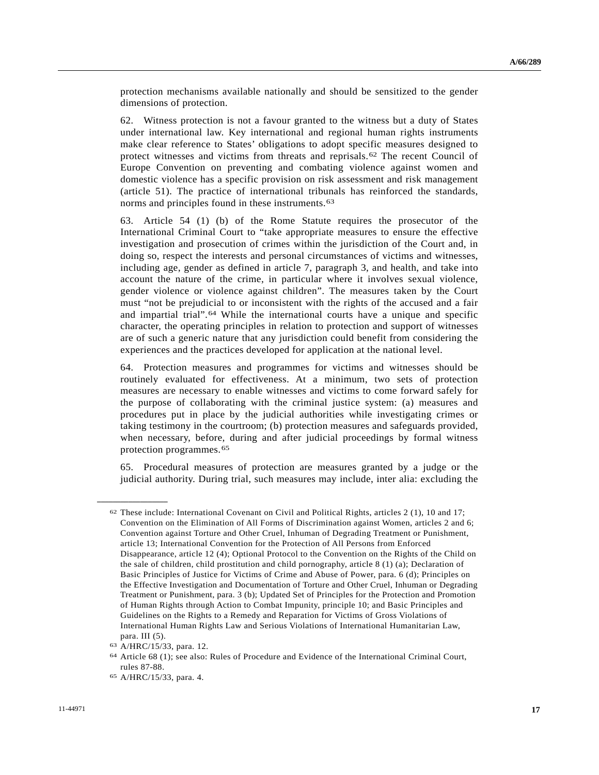protection mechanisms available nationally and should be sensitized to the gender dimensions of protection.

62. Witness protection is not a favour granted to the witness but a duty of States under international law. Key international and regional human rights instruments make clear reference to States' obligations to adopt specific measures designed to protect witnesses and victims from threats and reprisals.[6](#page-16-0)2 The recent Council of Europe Convention on preventing and combating violence against women and domestic violence has a specific provision on risk assessment and risk management (article 51). The practice of international tribunals has reinforced the standards, norms and principles found in these instruments.[63](#page-16-1)

63. Article 54 (1) (b) of the Rome Statute requires the prosecutor of the International Criminal Court to "take appropriate measures to ensure the effective investigation and prosecution of crimes within the jurisdiction of the Court and, in doing so, respect the interests and personal circumstances of victims and witnesses, including age, gender as defined in article 7, paragraph 3, and health, and take into account the nature of the crime, in particular where it involves sexual violence, gender violence or violence against children". The measures taken by the Court must "not be prejudicial to or inconsistent with the rights of the accused and a fair and impartial trial".[6](#page-16-2)4 While the international courts have a unique and specific character, the operating principles in relation to protection and support of witnesses are of such a generic nature that any jurisdiction could benefit from considering the experiences and the practices developed for application at the national level.

64. Protection measures and programmes for victims and witnesses should be routinely evaluated for effectiveness. At a minimum, two sets of protection measures are necessary to enable witnesses and victims to come forward safely for the purpose of collaborating with the criminal justice system: (a) measures and procedures put in place by the judicial authorities while investigating crimes or taking testimony in the courtroom; (b) protection measures and safeguards provided, when necessary, before, during and after judicial proceedings by formal witness protection programmes.[65](#page-16-3)

65. Procedural measures of protection are measures granted by a judge or the judicial authority. During trial, such measures may include, inter alia: excluding the

<span id="page-16-0"></span><sup>62</sup> These include: International Covenant on Civil and Political Rights, articles 2 (1), 10 and 17; Convention on the Elimination of All Forms of Discrimination against Women, articles 2 and 6; Convention against Torture and Other Cruel, Inhuman of Degrading Treatment or Punishment, article 13; International Convention for the Protection of All Persons from Enforced Disappearance, article 12 (4); Optional Protocol to the Convention on the Rights of the Child on the sale of children, child prostitution and child pornography, article 8 (1) (a); Declaration of Basic Principles of Justice for Victims of Crime and Abuse of Power, para. 6 (d); Principles on the Effective Investigation and Documentation of Torture and Other Cruel, Inhuman or Degrading Treatment or Punishment, para. 3 (b); Updated Set of Principles for the Protection and Promotion of Human Rights through Action to Combat Impunity, principle 10; and Basic Principles and Guidelines on the Rights to a Remedy and Reparation for Victims of Gross Violations of International Human Rights Law and Serious Violations of International Humanitarian Law, para. III (5).

<span id="page-16-1"></span><sup>63</sup> A/HRC/15/33, para. 12.

<span id="page-16-2"></span><sup>64</sup> Article 68 (1); see also: Rules of Procedure and Evidence of the International Criminal Court, rules 87-88.

<span id="page-16-3"></span><sup>65</sup> A/HRC/15/33, para. 4.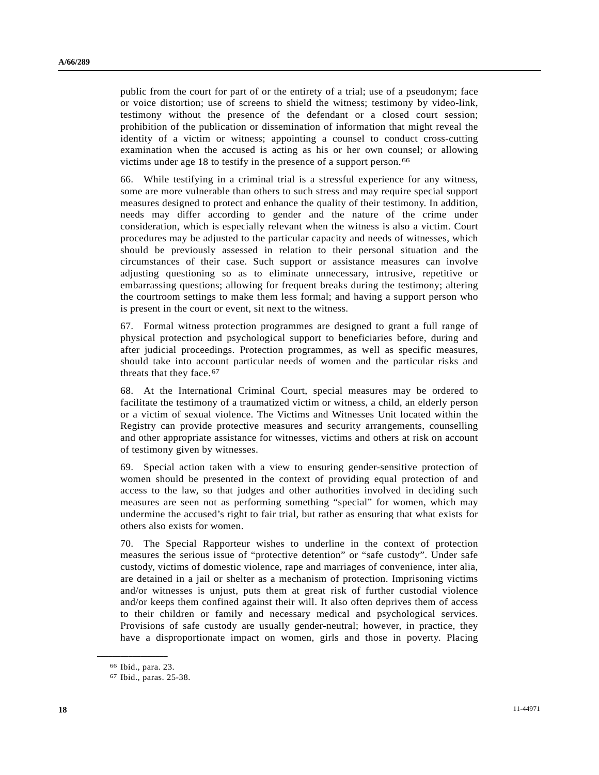public from the court for part of or the entirety of a trial; use of a pseudonym; face or voice distortion; use of screens to shield the witness; testimony by video-link, testimony without the presence of the defendant or a closed court session; prohibition of the publication or dissemination of information that might reveal the identity of a victim or witness; appointing a counsel to conduct cross-cutting examination when the accused is acting as his or her own counsel; or allowing victims under age 18 to testify in the presence of a support person.[66](#page-17-0)

66. While testifying in a criminal trial is a stressful experience for any witness, some are more vulnerable than others to such stress and may require special support measures designed to protect and enhance the quality of their testimony. In addition, needs may differ according to gender and the nature of the crime under consideration, which is especially relevant when the witness is also a victim. Court procedures may be adjusted to the particular capacity and needs of witnesses, which should be previously assessed in relation to their personal situation and the circumstances of their case. Such support or assistance measures can involve adjusting questioning so as to eliminate unnecessary, intrusive, repetitive or embarrassing questions; allowing for frequent breaks during the testimony; altering the courtroom settings to make them less formal; and having a support person who is present in the court or event, sit next to the witness.

67. Formal witness protection programmes are designed to grant a full range of physical protection and psychological support to beneficiaries before, during and after judicial proceedings. Protection programmes, as well as specific measures, should take into account particular needs of women and the particular risks and threats that they face.<sup>[6](#page-17-1)7</sup>

68. At the International Criminal Court, special measures may be ordered to facilitate the testimony of a traumatized victim or witness, a child, an elderly person or a victim of sexual violence. The Victims and Witnesses Unit located within the Registry can provide protective measures and security arrangements, counselling and other appropriate assistance for witnesses, victims and others at risk on account of testimony given by witnesses.

69. Special action taken with a view to ensuring gender-sensitive protection of women should be presented in the context of providing equal protection of and access to the law, so that judges and other authorities involved in deciding such measures are seen not as performing something "special" for women, which may undermine the accused's right to fair trial, but rather as ensuring that what exists for others also exists for women.

70. The Special Rapporteur wishes to underline in the context of protection measures the serious issue of "protective detention" or "safe custody". Under safe custody, victims of domestic violence, rape and marriages of convenience, inter alia, are detained in a jail or shelter as a mechanism of protection. Imprisoning victims and/or witnesses is unjust, puts them at great risk of further custodial violence and/or keeps them confined against their will. It also often deprives them of access to their children or family and necessary medical and psychological services. Provisions of safe custody are usually gender-neutral; however, in practice, they have a disproportionate impact on women, girls and those in poverty. Placing

<span id="page-17-0"></span><sup>66</sup> Ibid., para. 23.

<span id="page-17-1"></span><sup>67</sup> Ibid., paras. 25-38.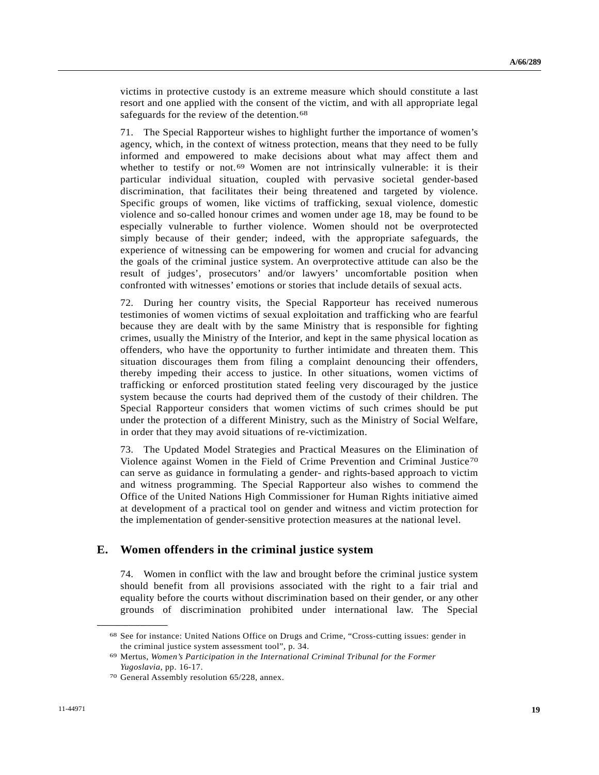victims in protective custody is an extreme measure which should constitute a last resort and one applied with the consent of the victim, and with all appropriate legal safeguards for the review of the detention.<sup>[6](#page-18-0)8</sup>

71. The Special Rapporteur wishes to highlight further the importance of women's agency, which, in the context of witness protection, means that they need to be fully informed and empowered to make decisions about what may affect them and whether to testify or not.<sup>[6](#page-18-1)9</sup> Women are not intrinsically vulnerable: it is their particular individual situation, coupled with pervasive societal gender-based discrimination, that facilitates their being threatened and targeted by violence. Specific groups of women, like victims of trafficking, sexual violence, domestic violence and so-called honour crimes and women under age 18, may be found to be especially vulnerable to further violence. Women should not be overprotected simply because of their gender; indeed, with the appropriate safeguards, the experience of witnessing can be empowering for women and crucial for advancing the goals of the criminal justice system. An overprotective attitude can also be the result of judges', prosecutors' and/or lawyers' uncomfortable position when confronted with witnesses' emotions or stories that include details of sexual acts.

72. During her country visits, the Special Rapporteur has received numerous testimonies of women victims of sexual exploitation and trafficking who are fearful because they are dealt with by the same Ministry that is responsible for fighting crimes, usually the Ministry of the Interior, and kept in the same physical location as offenders, who have the opportunity to further intimidate and threaten them. This situation discourages them from filing a complaint denouncing their offenders, thereby impeding their access to justice. In other situations, women victims of trafficking or enforced prostitution stated feeling very discouraged by the justice system because the courts had deprived them of the custody of their children. The Special Rapporteur considers that women victims of such crimes should be put under the protection of a different Ministry, such as the Ministry of Social Welfare, in order that they may avoid situations of re-victimization.

73. The Updated Model Strategies and Practical Measures on the Elimination of Violence against Women in the Field of Crime Prevention and Criminal Justice[70](#page-18-2) can serve as guidance in formulating a gender- and rights-based approach to victim and witness programming. The Special Rapporteur also wishes to commend the Office of the United Nations High Commissioner for Human Rights initiative aimed at development of a practical tool on gender and witness and victim protection for the implementation of gender-sensitive protection measures at the national level.

### **E. Women offenders in the criminal justice system**

74. Women in conflict with the law and brought before the criminal justice system should benefit from all provisions associated with the right to a fair trial and equality before the courts without discrimination based on their gender, or any other grounds of discrimination prohibited under international law. The Special

<span id="page-18-0"></span><sup>68</sup> See for instance: United Nations Office on Drugs and Crime, "Cross-cutting issues: gender in the criminal justice system assessment tool", p. 34.

<span id="page-18-1"></span><sup>69</sup> Mertus, *Women's Participation in the International Criminal Tribunal for the Former Yugoslavia*, pp. 16-17.<br><sup>70</sup> General Assembly resolution 65/228, annex.

<span id="page-18-2"></span>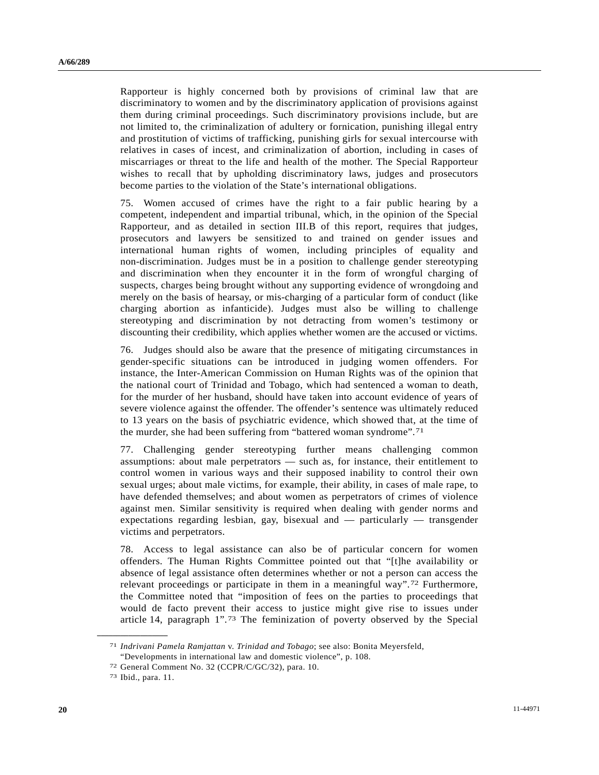Rapporteur is highly concerned both by provisions of criminal law that are discriminatory to women and by the discriminatory application of provisions against them during criminal proceedings. Such discriminatory provisions include, but are not limited to, the criminalization of adultery or fornication, punishing illegal entry and prostitution of victims of trafficking, punishing girls for sexual intercourse with relatives in cases of incest, and criminalization of abortion, including in cases of miscarriages or threat to the life and health of the mother. The Special Rapporteur wishes to recall that by upholding discriminatory laws, judges and prosecutors become parties to the violation of the State's international obligations.

75. Women accused of crimes have the right to a fair public hearing by a competent, independent and impartial tribunal, which, in the opinion of the Special Rapporteur, and as detailed in section III.B of this report, requires that judges, prosecutors and lawyers be sensitized to and trained on gender issues and international human rights of women, including principles of equality and non-discrimination. Judges must be in a position to challenge gender stereotyping and discrimination when they encounter it in the form of wrongful charging of suspects, charges being brought without any supporting evidence of wrongdoing and merely on the basis of hearsay, or mis-charging of a particular form of conduct (like charging abortion as infanticide). Judges must also be willing to challenge stereotyping and discrimination by not detracting from women's testimony or discounting their credibility, which applies whether women are the accused or victims.

76. Judges should also be aware that the presence of mitigating circumstances in gender-specific situations can be introduced in judging women offenders. For instance, the Inter-American Commission on Human Rights was of the opinion that the national court of Trinidad and Tobago, which had sentenced a woman to death, for the murder of her husband, should have taken into account evidence of years of severe violence against the offender. The offender's sentence was ultimately reduced to 13 years on the basis of psychiatric evidence, which showed that, at the time of the murder, she had been suffering from "battered woman syndrome".[7](#page-19-0)1

77. Challenging gender stereotyping further means challenging common assumptions: about male perpetrators — such as, for instance, their entitlement to control women in various ways and their supposed inability to control their own sexual urges; about male victims, for example, their ability, in cases of male rape, to have defended themselves; and about women as perpetrators of crimes of violence against men. Similar sensitivity is required when dealing with gender norms and expectations regarding lesbian, gay, bisexual and — particularly — transgender victims and perpetrators.

78. Access to legal assistance can also be of particular concern for women offenders. The Human Rights Committee pointed out that "[t]he availability or absence of legal assistance often determines whether or not a person can access the relevant proceedings or participate in them in a meaningful way".[72](#page-19-1) Furthermore, the Committee noted that "imposition of fees on the parties to proceedings that would de facto prevent their access to justice might give rise to issues under article 14, paragraph 1".[7](#page-19-2)3 The feminization of poverty observed by the Special

<span id="page-19-0"></span><sup>71</sup> *Indrivani Pamela Ramjattan* v. *Trinidad and Tobago*; see also: Bonita Meyersfeld, "Developments in international law and domestic violence", p. 108.

<sup>72</sup> General Comment No. 32 (CCPR/C/GC/32), para. 10. 73 Ibid., para. 11.

<span id="page-19-2"></span><span id="page-19-1"></span>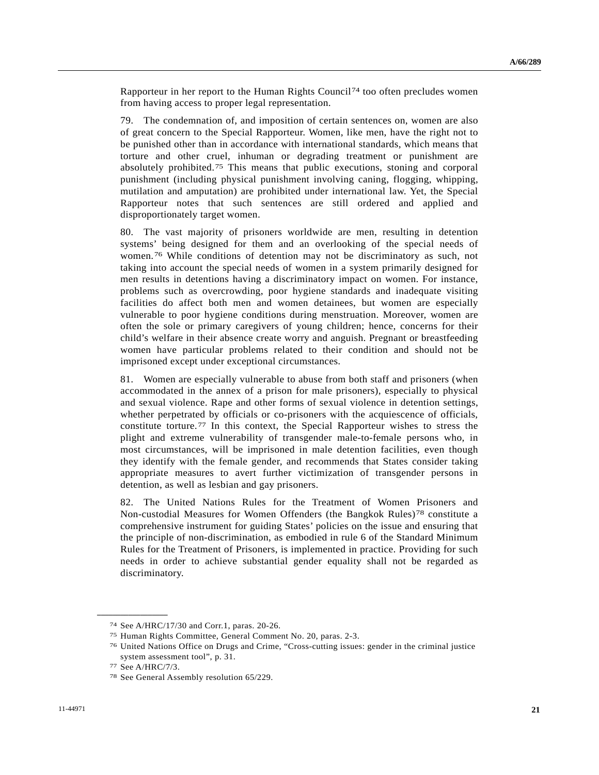Rapporteur in her report to the Human Rights Council<sup>[74](#page-20-0)</sup> too often precludes women from having access to proper legal representation.

79. The condemnation of, and imposition of certain sentences on, women are also of great concern to the Special Rapporteur. Women, like men, have the right not to be punished other than in accordance with international standards, which means that torture and other cruel, inhuman or degrading treatment or punishment are absolutely prohibited.[7](#page-20-1)5 This means that public executions, stoning and corporal punishment (including physical punishment involving caning, flogging, whipping, mutilation and amputation) are prohibited under international law. Yet, the Special Rapporteur notes that such sentences are still ordered and applied and disproportionately target women.

80. The vast majority of prisoners worldwide are men, resulting in detention systems' being designed for them and an overlooking of the special needs of women.[76](#page-20-2) While conditions of detention may not be discriminatory as such, not taking into account the special needs of women in a system primarily designed for men results in detentions having a discriminatory impact on women. For instance, problems such as overcrowding, poor hygiene standards and inadequate visiting facilities do affect both men and women detainees, but women are especially vulnerable to poor hygiene conditions during menstruation. Moreover, women are often the sole or primary caregivers of young children; hence, concerns for their child's welfare in their absence create worry and anguish. Pregnant or breastfeeding women have particular problems related to their condition and should not be imprisoned except under exceptional circumstances.

81. Women are especially vulnerable to abuse from both staff and prisoners (when accommodated in the annex of a prison for male prisoners), especially to physical and sexual violence. Rape and other forms of sexual violence in detention settings, whether perpetrated by officials or co-prisoners with the acquiescence of officials, constitute torture.[77](#page-20-3) In this context, the Special Rapporteur wishes to stress the plight and extreme vulnerability of transgender male-to-female persons who, in most circumstances, will be imprisoned in male detention facilities, even though they identify with the female gender, and recommends that States consider taking appropriate measures to avert further victimization of transgender persons in detention, as well as lesbian and gay prisoners.

82. The United Nations Rules for the Treatment of Women Prisoners and Non-custodial Measures for Women Offenders (the Bangkok Rules)[78](#page-20-4) constitute a comprehensive instrument for guiding States' policies on the issue and ensuring that the principle of non-discrimination, as embodied in rule 6 of the Standard Minimum Rules for the Treatment of Prisoners, is implemented in practice. Providing for such needs in order to achieve substantial gender equality shall not be regarded as discriminatory.

<span id="page-20-1"></span><span id="page-20-0"></span><sup>74</sup> See A/HRC/17/30 and Corr.1, paras. 20-26.

<sup>75</sup> Human Rights Committee, General Comment No. 20, paras. 2-3.

<span id="page-20-2"></span><sup>76</sup> United Nations Office on Drugs and Crime, "Cross-cutting issues: gender in the criminal justice system assessment tool", p. 31.

<span id="page-20-3"></span><sup>77</sup> See A/HRC/7/3.

<span id="page-20-4"></span><sup>78</sup> See General Assembly resolution 65/229.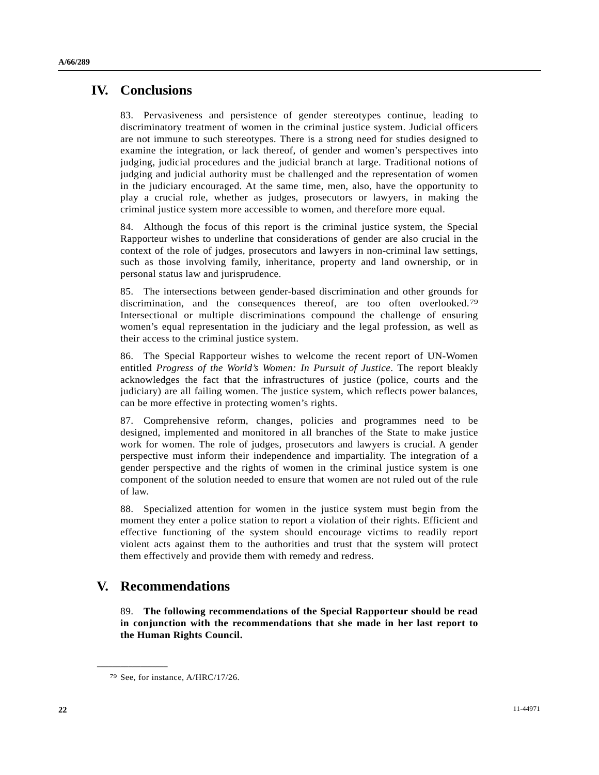## **IV. Conclusions**

83. Pervasiveness and persistence of gender stereotypes continue, leading to discriminatory treatment of women in the criminal justice system. Judicial officers are not immune to such stereotypes. There is a strong need for studies designed to examine the integration, or lack thereof, of gender and women's perspectives into judging, judicial procedures and the judicial branch at large. Traditional notions of judging and judicial authority must be challenged and the representation of women in the judiciary encouraged. At the same time, men, also, have the opportunity to play a crucial role, whether as judges, prosecutors or lawyers, in making the criminal justice system more accessible to women, and therefore more equal.

84. Although the focus of this report is the criminal justice system, the Special Rapporteur wishes to underline that considerations of gender are also crucial in the context of the role of judges, prosecutors and lawyers in non-criminal law settings, such as those involving family, inheritance, property and land ownership, or in personal status law and jurisprudence.

85. The intersections between gender-based discrimination and other grounds for discrimination, and the consequences thereof, are too often overlooked.[79](#page-21-0) Intersectional or multiple discriminations compound the challenge of ensuring women's equal representation in the judiciary and the legal profession, as well as their access to the criminal justice system.

86. The Special Rapporteur wishes to welcome the recent report of UN-Women entitled *Progress of the World's Women: In Pursuit of Justice*. The report bleakly acknowledges the fact that the infrastructures of justice (police, courts and the judiciary) are all failing women. The justice system, which reflects power balances, can be more effective in protecting women's rights.

87. Comprehensive reform, changes, policies and programmes need to be designed, implemented and monitored in all branches of the State to make justice work for women. The role of judges, prosecutors and lawyers is crucial. A gender perspective must inform their independence and impartiality. The integration of a gender perspective and the rights of women in the criminal justice system is one component of the solution needed to ensure that women are not ruled out of the rule of law.

88. Specialized attention for women in the justice system must begin from the moment they enter a police station to report a violation of their rights. Efficient and effective functioning of the system should encourage victims to readily report violent acts against them to the authorities and trust that the system will protect them effectively and provide them with remedy and redress.

# **V. Recommendations**

89. **The following recommendations of the Special Rapporteur should be read in conjunction with the recommendations that she made in her last report to the Human Rights Council.** 

<span id="page-21-0"></span><sup>79</sup> See, for instance, A/HRC/17/26.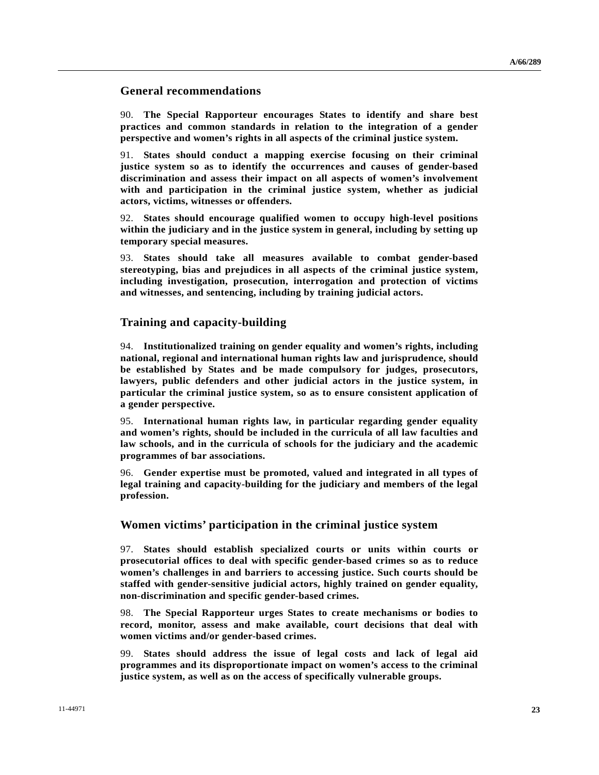### **General recommendations**

90. **The Special Rapporteur encourages States to identify and share best practices and common standards in relation to the integration of a gender perspective and women's rights in all aspects of the criminal justice system.**

91. **States should conduct a mapping exercise focusing on their criminal justice system so as to identify the occurrences and causes of gender-based discrimination and assess their impact on all aspects of women's involvement with and participation in the criminal justice system, whether as judicial actors, victims, witnesses or offenders.** 

92. **States should encourage qualified women to occupy high-level positions within the judiciary and in the justice system in general, including by setting up temporary special measures.**

93. **States should take all measures available to combat gender-based stereotyping, bias and prejudices in all aspects of the criminal justice system, including investigation, prosecution, interrogation and protection of victims and witnesses, and sentencing, including by training judicial actors.** 

### **Training and capacity-building**

94. **Institutionalized training on gender equality and women's rights, including national, regional and international human rights law and jurisprudence, should be established by States and be made compulsory for judges, prosecutors, lawyers, public defenders and other judicial actors in the justice system, in particular the criminal justice system, so as to ensure consistent application of a gender perspective.** 

95. **International human rights law, in particular regarding gender equality and women's rights, should be included in the curricula of all law faculties and law schools, and in the curricula of schools for the judiciary and the academic programmes of bar associations.** 

96. **Gender expertise must be promoted, valued and integrated in all types of legal training and capacity-building for the judiciary and members of the legal profession.** 

### **Women victims' participation in the criminal justice system**

97. **States should establish specialized courts or units within courts or prosecutorial offices to deal with specific gender-based crimes so as to reduce women's challenges in and barriers to accessing justice. Such courts should be staffed with gender-sensitive judicial actors, highly trained on gender equality, non-discrimination and specific gender-based crimes.** 

98. **The Special Rapporteur urges States to create mechanisms or bodies to record, monitor, assess and make available, court decisions that deal with women victims and/or gender-based crimes.** 

99. **States should address the issue of legal costs and lack of legal aid programmes and its disproportionate impact on women's access to the criminal justice system, as well as on the access of specifically vulnerable groups.**